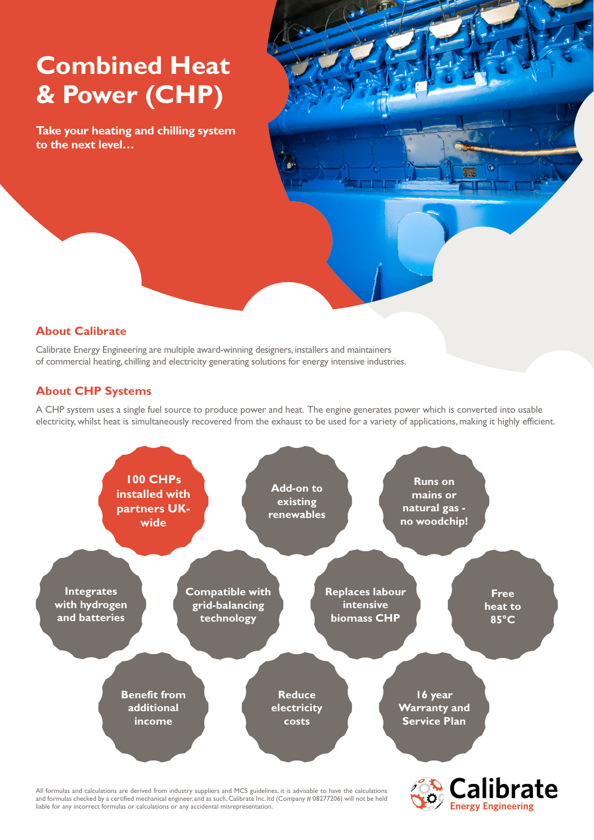## **Combined Heat & Power (CHP)**

**Take your heating and chilling system to the next level…**



## **About Calibrate**

Calibrate Energy Engineering are multiple award-winning designers, installers and maintainers of commercial heating, chilling and electricity generating solutions for energy intensive industries.

## **About CHP Systems**

A CHP system uses a single fuel source to produce power and heat. The engine generates power which is converted into usable electricity, whilst heat is simultaneously recovered from the exhaust to be used for a variety of applications, making it highly efficient.



All formulas and calculations are derived from industry suppliers and MCS guidelines, it is advisable to have the calculations and formulas checked by a certified mechanical engineer, and as such, Calibrate Inc. ltd (Company # 08277206) will not be held liable for any incorrect formulas or calculations or any accidental misrepresentation.